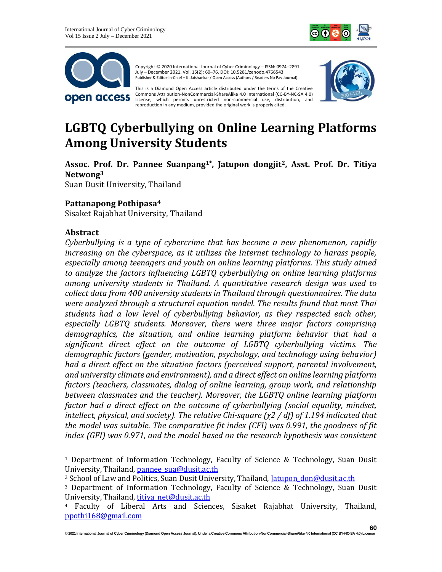



Copyright © 2020 International Journal of Cyber Criminology – ISSN: 0974–2891 July – December 2021. Vol. 15(2): 60–76. DOI: 10.5281/zenodo.4766543 Publisher & Editor-in-Chief – K. Jaishankar / Open Access (Authors / Readers No Pay Journal).

This is a Diamond Open Access article distributed under the terms of the Creative Commons Attribution-NonCommercial-ShareAlike 4.0 International (CC-BY-NC-SA 4.0) License, which permits unrestricted non-commercial use, distribution, and reproduction in any medium, provided the original work is properly cited.



# **LGBTQ Cyberbullying on Online Learning Platforms Among University Students**

**Assoc. Prof. Dr. Pannee Suanpang1\* , Jatupon dongjit2, Asst. Prof. Dr. Titiya Netwong<sup>3</sup>**

Suan Dusit University, Thailand

# **Pattanapong Pothipasa<sup>4</sup>**

Sisaket Rajabhat University, Thailand

#### **Abstract**

*Cyberbullying is a type of cybercrime that has become a new phenomenon, rapidly increasing on the cyberspace, as it utilizes the Internet technology to harass people, especially among teenagers and youth on online learning platforms. This study aimed to analyze the factors influencing LGBTQ cyberbullying on online learning platforms among university students in Thailand. A quantitative research design was used to collect data from 400 university students in Thailand through questionnaires. The data were analyzed through a structural equation model. The results found that most Thai students had a low level of cyberbullying behavior, as they respected each other, especially LGBTQ students. Moreover, there were three major factors comprising demographics, the situation, and online learning platform behavior that had a significant direct effect on the outcome of LGBTQ cyberbullying victims. The demographic factors (gender, motivation, psychology, and technology using behavior) had a direct effect on the situation factors (perceived support, parental involvement, and university climate and environment), and a direct effect on online learning platform factors (teachers, classmates, dialog of online learning, group work, and relationship between classmates and the teacher). Moreover, the LGBTQ online learning platform factor had a direct effect on the outcome of cyberbullying (social equality, mindset, intellect, physical, and society). The relative Chi-square (χ2 / df) of 1.194 indicated that the model was suitable. The comparative fit index (CFI) was 0.991, the goodness of fit index (GFI) was 0.971, and the model based on the research hypothesis was consistent* 

<sup>1</sup> Department of Information Technology, Faculty of Science & Technology, Suan Dusit University, Thailand, pannee sua@dusit.ac.th

<sup>&</sup>lt;sup>2</sup> School of Law and Politics, Suan Dusit University, Thailand, *Jatupon don@dusit.ac.th* 

<sup>3</sup> Department of Information Technology, Faculty of Science & Technology, Suan Dusit University, Thailand, [titiya\\_net@dusit.ac.th](mailto:titiya_net@dusit.ac.th)

<sup>4</sup> Faculty of Liberal Arts and Sciences, Sisaket Rajabhat University, Thailand, [ppothi168@gmail.com](mailto:ppothi168@gmail.com)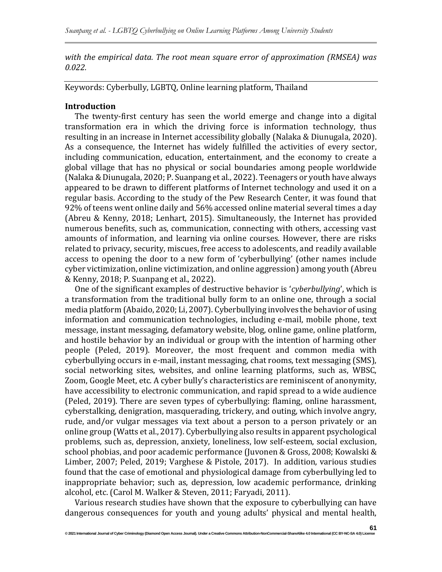*with the empirical data. The root mean square error of approximation (RMSEA) was 0.022.*

Keywords: Cyberbully, LGBTQ, Online learning platform, Thailand

#### **Introduction**

The twenty-first century has seen the world emerge and change into a digital transformation era in which the driving force is information technology, thus resulting in an increase in Internet accessibility globally (Nalaka & Diunugala, 2020). As a consequence, the Internet has widely fulfilled the activities of every sector, including communication, education, entertainment, and the economy to create a global village that has no physical or social boundaries among people worldwide (Nalaka & Diunugala, 2020; P. Suanpang et al., 2022). Teenagers or youth have always appeared to be drawn to different platforms of Internet technology and used it on a regular basis. According to the study of the Pew Research Center, it was found that 92% of teens went online daily and 56% accessed online material several times a day (Abreu & Kenny, 2018; Lenhart, 2015). Simultaneously, the Internet has provided numerous benefits, such as, communication, connecting with others, accessing vast amounts of information, and learning via online courses. However, there are risks related to privacy, security, miscues, free access to adolescents, and readily available access to opening the door to a new form of 'cyberbullying' (other names include cyber victimization, online victimization, and online aggression) among youth (Abreu & Kenny, 2018; P. Suanpang et al., 2022).

One of the significant examples of destructive behavior is '*cyberbullying*', which is a transformation from the traditional bully form to an online one, through a social media platform (Abaido, 2020; Li, 2007). Cyberbullying involves the behavior of using information and communication technologies, including e-mail, mobile phone, text message, instant messaging, defamatory website, blog, online game, online platform, and hostile behavior by an individual or group with the intention of harming other people (Peled, 2019). Moreover, the most frequent and common media with cyberbullying occurs in e-mail, instant messaging, chat rooms, text messaging (SMS), social networking sites, websites, and online learning platforms, such as, WBSC, Zoom, Google Meet, etc. A cyber bully's characteristics are reminiscent of anonymity, have accessibility to electronic communication, and rapid spread to a wide audience (Peled, 2019). There are seven types of cyberbullying: flaming, online harassment, cyberstalking, denigration, masquerading, trickery, and outing, which involve angry, rude, and/or vulgar messages via text about a person to a person privately or an online group (Watts et al., 2017). Cyberbullying also results in apparent psychological problems, such as, depression, anxiety, loneliness, low self-esteem, social exclusion, school phobias, and poor academic performance (Juvonen & Gross, 2008; Kowalski & Limber, 2007; Peled, 2019; Varghese & Pistole, 2017). In addition, various studies found that the case of emotional and physiological damage from cyberbullying led to inappropriate behavior; such as, depression, low academic performance, drinking alcohol, etc. (Carol M. Walker & Steven, 2011; Faryadi, 2011).

Various research studies have shown that the exposure to cyberbullying can have dangerous consequences for youth and young adults' physical and mental health,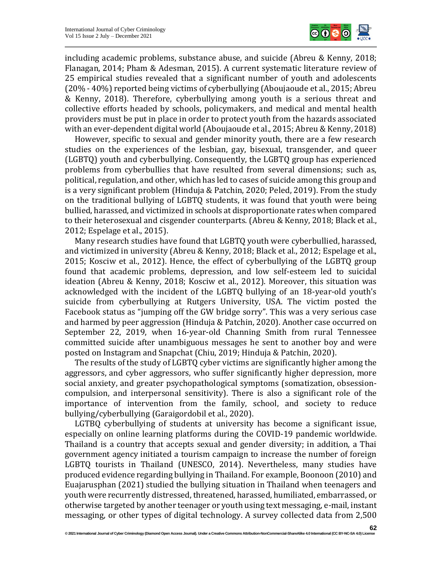

including academic problems, substance abuse, and suicide (Abreu & Kenny, 2018; Flanagan, 2014; Pham & Adesman, 2015). A current systematic literature review of 25 empirical studies revealed that a significant number of youth and adolescents (20% - 40%) reported being victims of cyberbullying (Aboujaoude et al., 2015; Abreu & Kenny, 2018). Therefore, cyberbullying among youth is a serious threat and collective efforts headed by schools, policymakers, and medical and mental health providers must be put in place in order to protect youth from the hazards associated with an ever-dependent digital world (Aboujaoude et al., 2015; Abreu & Kenny, 2018)

However, specific to sexual and gender minority youth, there are a few research studies on the experiences of the lesbian, gay, bisexual, transgender, and queer (LGBTQ) youth and cyberbullying. Consequently, the LGBTQ group has experienced problems from cyberbullies that have resulted from several dimensions; such as, political, regulation, and other, which has led to cases of suicide among this group and is a very significant problem (Hinduja & Patchin, 2020; Peled, 2019). From the study on the traditional bullying of LGBTQ students, it was found that youth were being bullied, harassed, and victimized in schools at disproportionate rates when compared to their heterosexual and cisgender counterparts. (Abreu & Kenny, 2018; Black et al., 2012; Espelage et al., 2015).

Many research studies have found that LGBTQ youth were cyberbullied, harassed, and victimized in university (Abreu & Kenny, 2018; Black et al., 2012; Espelage et al., 2015; Kosciw et al., 2012). Hence, the effect of cyberbullying of the LGBTQ group found that academic problems, depression, and low self-esteem led to suicidal ideation (Abreu & Kenny, 2018; Kosciw et al., 2012). Moreover, this situation was acknowledged with the incident of the LGBTQ bullying of an 18-year-old youth's suicide from cyberbullying at Rutgers University, USA. The victim posted the Facebook status as "jumping off the GW bridge sorry". This was a very serious case and harmed by peer aggression (Hinduja & Patchin, 2020). Another case occurred on September 22, 2019, when 16-year-old Channing Smith from rural Tennessee committed suicide after unambiguous messages he sent to another boy and were posted on Instagram and Snapchat (Chiu, 2019; Hinduja & Patchin, 2020).

The results of the study of LGBTQ cyber victims are significantly higher among the aggressors, and cyber aggressors, who suffer significantly higher depression, more social anxiety, and greater psychopathological symptoms (somatization, obsessioncompulsion, and interpersonal sensitivity). There is also a significant role of the importance of intervention from the family, school, and society to reduce bullying/cyberbullying (Garaigordobil et al., 2020).

LGTBQ cyberbullying of students at university has become a significant issue, especially on online learning platforms during the COVID-19 pandemic worldwide. Thailand is a country that accepts sexual and gender diversity; in addition, a Thai government agency initiated a tourism campaign to increase the number of foreign LGBTQ tourists in Thailand (UNESCO, 2014). Nevertheless, many studies have produced evidence regarding bullying in Thailand. For example, Boonoon (2010) and Euajarusphan (2021) studied the bullying situation in Thailand when teenagers and youth were recurrently distressed, threatened, harassed, humiliated, embarrassed, or otherwise targeted by another teenager or youth using text messaging, e-mail, instant messaging, or other types of digital technology. A survey collected data from 2,500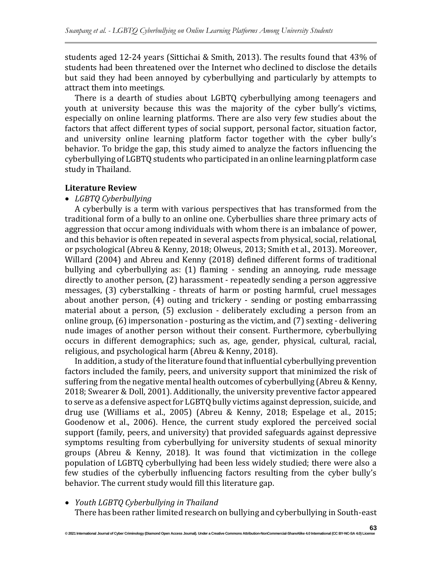students aged 12-24 years (Sittichai & Smith, 2013). The results found that 43% of students had been threatened over the Internet who declined to disclose the details but said they had been annoyed by cyberbullying and particularly by attempts to attract them into meetings.

There is a dearth of studies about LGBTQ cyberbullying among teenagers and youth at university because this was the majority of the cyber bully's victims, especially on online learning platforms. There are also very few studies about the factors that affect different types of social support, personal factor, situation factor, and university online learning platform factor together with the cyber bully's behavior. To bridge the gap, this study aimed to analyze the factors influencing the cyberbullying of LGBTQ students who participated in an online learning platform case study in Thailand.

#### **Literature Review**

#### • *LGBTQ Cyberbullying*

A cyberbully is a term with various perspectives that has transformed from the traditional form of a bully to an online one. Cyberbullies share three primary acts of aggression that occur among individuals with whom there is an imbalance of power, and this behavior is often repeated in several aspects from physical, social, relational, or psychological (Abreu & Kenny, 2018; Olweus, 2013; Smith et al., 2013). Moreover, Willard (2004) and Abreu and Kenny (2018) defined different forms of traditional bullying and cyberbullying as: (1) flaming - sending an annoying, rude message directly to another person, (2) harassment - repeatedly sending a person aggressive messages, (3) cyberstalking - threats of harm or posting harmful, cruel messages about another person, (4) outing and trickery - sending or posting embarrassing material about a person, (5) exclusion - deliberately excluding a person from an online group, (6) impersonation - posturing as the victim, and (7) sexting - delivering nude images of another person without their consent. Furthermore, cyberbullying occurs in different demographics; such as, age, gender, physical, cultural, racial, religious, and psychological harm (Abreu & Kenny, 2018).

In addition, a study of the literature found that influential cyberbullying prevention factors included the family, peers, and university support that minimized the risk of suffering from the negative mental health outcomes of cyberbullying (Abreu & Kenny, 2018; Swearer & Doll, 2001). Additionally, the university preventive factor appeared to serve as a defensive aspect for LGBTQ bully victims against depression, suicide, and drug use (Williams et al., 2005) (Abreu & Kenny, 2018; Espelage et al., 2015; Goodenow et al., 2006). Hence, the current study explored the perceived social support (family, peers, and university) that provided safeguards against depressive symptoms resulting from cyberbullying for university students of sexual minority groups (Abreu & Kenny, 2018). It was found that victimization in the college population of LGBTQ cyberbullying had been less widely studied; there were also a few studies of the cyberbully influencing factors resulting from the cyber bully's behavior. The current study would fill this literature gap.

#### • *Youth LGBTQ Cyberbullying in Thailand*

There has been rather limited research on bullying and cyberbullying in South-east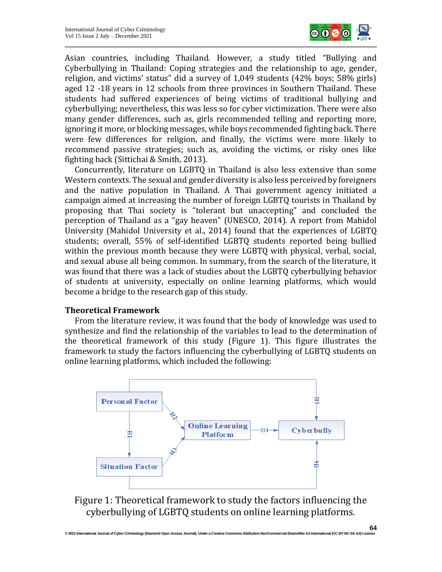

Asian countries, including Thailand. However, a study titled "Bullying and Cyberbullying in Thailand: Coping strategies and the relationship to age, gender, religion, and victims' status" did a survey of 1,049 students (42% boys; 58% girls) aged 12 -18 years in 12 schools from three provinces in Southern Thailand. These students had suffered experiences of being victims of traditional bullying and cyberbullying; nevertheless, this was less so for cyber victimization. There were also many gender differences, such as, girls recommended telling and reporting more, ignoring it more, or blocking messages, while boys recommended fighting back. There were few differences for religion, and finally, the victims were more likely to recommend passive strategies; such as, avoiding the victims, or risky ones like fighting back (Sittichai & Smith, 2013).

Concurrently, literature on LGBTQ in Thailand is also less extensive than some Western contexts. The sexual and gender diversity is also less perceived by foreigners and the native population in Thailand. A Thai government agency initiated a campaign aimed at increasing the number of foreign LGBTQ tourists in Thailand by proposing that Thai society is "tolerant but unaccepting" and concluded the perception of Thailand as a "gay heaven" (UNESCO, 2014). A report from Mahidol University (Mahidol University et al., 2014) found that the experiences of LGBTQ students; overall, 55% of self-identified LGBTQ students reported being bullied within the previous month because they were LGBTQ with physical, verbal, social, and sexual abuse all being common. In summary, from the search of the literature, it was found that there was a lack of studies about the LGBTQ cyberbullying behavior of students at university, especially on online learning platforms, which would become a bridge to the research gap of this study.

#### **Theoretical Framework**

From the literature review, it was found that the body of knowledge was used to synthesize and find the relationship of the variables to lead to the determination of the theoretical framework of this study (Figure 1). This figure illustrates the framework to study the factors influencing the cyberbullying of LGBTQ students on online learning platforms, which included the following:



Figure 1: Theoretical framework to study the factors influencing the cyberbullying of LGBTQ students on online learning platforms.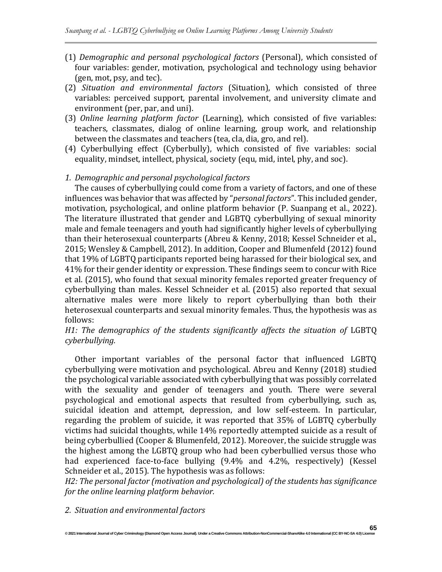- (1) *Demographic and personal psychological factors* (Personal), which consisted of four variables: gender, motivation, psychological and technology using behavior (gen, mot, psy, and tec).
- (2) *Situation and environmental factors* (Situation), which consisted of three variables: perceived support, parental involvement, and university climate and environment (per, par, and uni).
- (3) *Online learning platform factor* (Learning), which consisted of five variables: teachers, classmates, dialog of online learning, group work, and relationship between the classmates and teachers (tea, cla, dia, gro, and rel).
- (4) Cyberbullying effect (Cyberbully), which consisted of five variables: social equality, mindset, intellect, physical, society (equ, mid, intel, phy, and soc).
- *1. Demographic and personal psychological factors*

The causes of cyberbullying could come from a variety of factors, and one of these influences was behavior that was affected by "*personal factors*". This included gender, motivation, psychological, and online platform behavior (P. Suanpang et al., 2022). The literature illustrated that gender and LGBTQ cyberbullying of sexual minority male and female teenagers and youth had significantly higher levels of cyberbullying than their heterosexual counterparts (Abreu & Kenny, 2018; Kessel Schneider et al., 2015; Wensley & Campbell, 2012). In addition, Cooper and Blumenfeld (2012) found that 19% of LGBTQ participants reported being harassed for their biological sex, and 41% for their gender identity or expression. These findings seem to concur with Rice et al. (2015), who found that sexual minority females reported greater frequency of cyberbullying than males. Kessel Schneider et al. (2015) also reported that sexual alternative males were more likely to report cyberbullying than both their heterosexual counterparts and sexual minority females. Thus, the hypothesis was as follows:

# H1: The demographics of the students significantly affects the situation of LGBTQ *cyberbullying.*

Other important variables of the personal factor that influenced LGBTQ cyberbullying were motivation and psychological. Abreu and Kenny (2018) studied the psychological variable associated with cyberbullying that was possibly correlated with the sexuality and gender of teenagers and youth. There were several psychological and emotional aspects that resulted from cyberbullying, such as, suicidal ideation and attempt, depression, and low self-esteem. In particular, regarding the problem of suicide, it was reported that 35% of LGBTQ cyberbully victims had suicidal thoughts, while 14% reportedly attempted suicide as a result of being cyberbullied (Cooper & Blumenfeld, 2012). Moreover, the suicide struggle was the highest among the LGBTQ group who had been cyberbullied versus those who had experienced face-to-face bullying (9.4% and 4.2%, respectively) (Kessel Schneider et al., 2015). The hypothesis was as follows:

*H2: The personal factor (motivation and psychological) of the students has significance for the online learning platform behavior.*

# *2. Situation and environmental factors*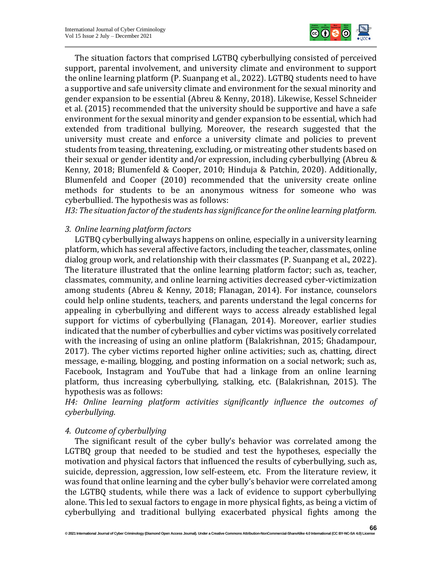

The situation factors that comprised LGTBQ cyberbullying consisted of perceived support, parental involvement, and university climate and environment to support the online learning platform (P. Suanpang et al., 2022). LGTBQ students need to have a supportive and safe university climate and environment for the sexual minority and gender expansion to be essential (Abreu & Kenny, 2018). Likewise, Kessel Schneider et al. (2015) recommended that the university should be supportive and have a safe environment for the sexual minority and gender expansion to be essential, which had extended from traditional bullying. Moreover, the research suggested that the university must create and enforce a university climate and policies to prevent students from teasing, threatening, excluding, or mistreating other students based on their sexual or gender identity and/or expression, including cyberbullying (Abreu & Kenny, 2018; Blumenfeld & Cooper, 2010; Hinduja & Patchin, 2020). Additionally, Blumenfeld and Cooper (2010) recommended that the university create online methods for students to be an anonymous witness for someone who was cyberbullied. The hypothesis was as follows:

*H3: The situation factor of the students has significance for the online learning platform.*

# *3. Online learning platform factors*

LGTBQ cyberbullying always happens on online, especially in a university learning platform, which has several affective factors, including the teacher, classmates, online dialog group work, and relationship with their classmates (P. Suanpang et al., 2022). The literature illustrated that the online learning platform factor; such as, teacher, classmates, community, and online learning activities decreased cyber-victimization among students (Abreu & Kenny, 2018; Flanagan, 2014). For instance, counselors could help online students, teachers, and parents understand the legal concerns for appealing in cyberbullying and different ways to access already established legal support for victims of cyberbullying (Flanagan, 2014). Moreover, earlier studies indicated that the number of cyberbullies and cyber victims was positively correlated with the increasing of using an online platform (Balakrishnan, 2015; Ghadampour, 2017). The cyber victims reported higher online activities; such as, chatting, direct message, e-mailing, blogging, and posting information on a social network; such as, Facebook, Instagram and YouTube that had a linkage from an online learning platform, thus increasing cyberbullying, stalking, etc. (Balakrishnan, 2015). The hypothesis was as follows:

*H4: Online learning platform activities significantly influence the outcomes of cyberbullying.*

# *4. Outcome of cyberbullying*

The significant result of the cyber bully's behavior was correlated among the LGTBQ group that needed to be studied and test the hypotheses, especially the motivation and physical factors that influenced the results of cyberbullying, such as, suicide, depression, aggression, low self-esteem, etc. From the literature review, it was found that online learning and the cyber bully's behavior were correlated among the LGTBQ students, while there was a lack of evidence to support cyberbullying alone. This led to sexual factors to engage in more physical fights, as being a victim of cyberbullying and traditional bullying exacerbated physical fights among the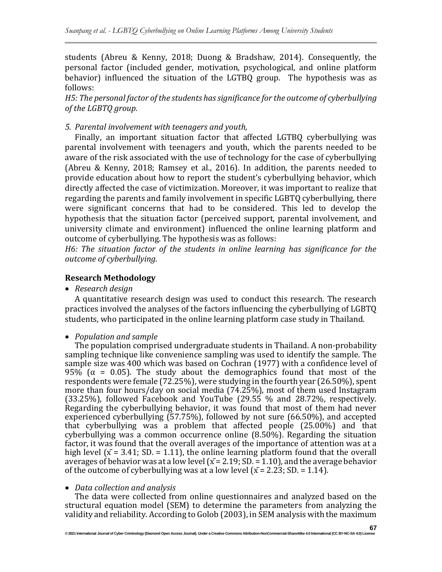students (Abreu & Kenny, 2018; Duong & Bradshaw, 2014). Consequently, the personal factor (included gender, motivation, psychological, and online platform behavior) influenced the situation of the LGTBQ group. The hypothesis was as follows:

*H5: The personal factor of the students has significance for the outcome of cyberbullying of the LGBTQ group.*

# *5. Parental involvement with teenagers and youth,*

Finally, an important situation factor that affected LGTBQ cyberbullying was parental involvement with teenagers and youth, which the parents needed to be aware of the risk associated with the use of technology for the case of cyberbullying (Abreu & Kenny, 2018; Ramsey et al., 2016). In addition, the parents needed to provide education about how to report the student's cyberbullying behavior, which directly affected the case of victimization. Moreover, it was important to realize that regarding the parents and family involvement in specific LGBTQ cyberbullying, there were significant concerns that had to be considered. This led to develop the hypothesis that the situation factor (perceived support, parental involvement, and university climate and environment) influenced the online learning platform and outcome of cyberbullying. The hypothesis was as follows:

*H6: The situation factor of the students in online learning has significance for the outcome of cyberbullying.*

# **Research Methodology**

• *Research design*

A quantitative research design was used to conduct this research. The research practices involved the analyses of the factors influencing the cyberbullying of LGBTQ students, who participated in the online learning platform case study in Thailand.

# • *Population and sample*

The population comprised undergraduate students in Thailand. A non-probability sampling technique like convenience sampling was used to identify the sample. The sample size was 400 which was based on Cochran (1977) with a confidence level of 95% ( $\alpha$  = 0.05). The study about the demographics found that most of the respondents were female (72.25%), were studying in the fourth year (26.50%), spent more than four hours/day on social media (74.25%), most of them used Instagram (33.25%), followed Facebook and YouTube (29.55 % and 28.72%, respectively. Regarding the cyberbullying behavior, it was found that most of them had never experienced cyberbullying (57.75%), followed by not sure (66.50%), and accepted that cyberbullying was a problem that affected people (25.00%) and that cyberbullying was a common occurrence online (8.50%). Regarding the situation factor, it was found that the overall averages of the importance of attention was at a high level ( $\bar{x}$  = 3.41; SD. = 1.11), the online learning platform found that the overall averages of behavior was at a low level ( $\bar{x}$  = 2.19; SD. = 1.10), and the average behavior of the outcome of cyberbullying was at a low level  $(\bar{x} = 2.23; SD = 1.14)$ .

#### • *Data collection and analysis*

The data were collected from online questionnaires and analyzed based on the structural equation model (SEM) to determine the parameters from analyzing the validity and reliability. According to Golob (2003), in SEM analysis with the maximum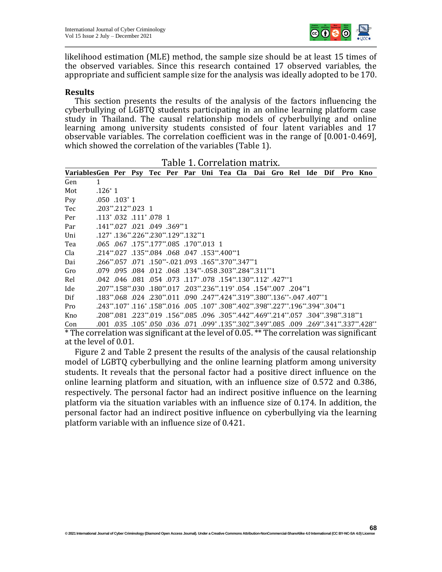

**68**

likelihood estimation (MLE) method, the sample size should be at least 15 times of the observed variables. Since this research contained 17 observed variables, the appropriate and sufficient sample size for the analysis was ideally adopted to be 170.

#### **Results**

This section presents the results of the analysis of the factors influencing the cyberbullying of LGBTQ students participating in an online learning platform case study in Thailand. The causal relationship models of cyberbullying and online learning among university students consisted of four latent variables and 17 observable variables. The correlation coefficient was in the range of [0.001-0.469], which showed the correlation of the variables (Table 1).

Table 1. Correlation matrix.

|                                                              |           |                                                                                                                                                         |  | Table 1. Correlation matrix. |  |  |  |     |     |                                                                                         |
|--------------------------------------------------------------|-----------|---------------------------------------------------------------------------------------------------------------------------------------------------------|--|------------------------------|--|--|--|-----|-----|-----------------------------------------------------------------------------------------|
| VariablesGen Per Psy Tec Per Par Uni Tea Cla Dai Gro Rel Ide |           |                                                                                                                                                         |  |                              |  |  |  | Dif | Pro | – Kno                                                                                   |
| Gen                                                          | 1         |                                                                                                                                                         |  |                              |  |  |  |     |     |                                                                                         |
| Mot                                                          | $.126^*1$ |                                                                                                                                                         |  |                              |  |  |  |     |     |                                                                                         |
| Psy                                                          |           | $.050$ $.103*1$                                                                                                                                         |  |                              |  |  |  |     |     |                                                                                         |
| Tec                                                          |           | $.203**212**023$ 1                                                                                                                                      |  |                              |  |  |  |     |     |                                                                                         |
| Per                                                          |           | $.113^*$ $.032$ $.111^*$ $.078$ 1                                                                                                                       |  |                              |  |  |  |     |     |                                                                                         |
| Par                                                          |           | $.141^{**}.027$ .021 .049 .369 <sup>**</sup> 1                                                                                                          |  |                              |  |  |  |     |     |                                                                                         |
| Uni                                                          |           | $.127^*$ .136 <sup>**</sup> .226 <sup>**</sup> .230 <sup>**</sup> .129 <sup>**</sup> .132 <sup>**</sup> 1                                               |  |                              |  |  |  |     |     |                                                                                         |
| Tea                                                          |           | .065 .067 .175**.177**.085 .170**.013 1                                                                                                                 |  |                              |  |  |  |     |     |                                                                                         |
| Cla                                                          |           | .153**400**1. 047 068 047 053**400**1                                                                                                                   |  |                              |  |  |  |     |     |                                                                                         |
| Dai                                                          |           | $.266^{**}.057$ $.071$ $.150^{**}.021$ $.093$ $.165^{**}.370^{**}.347^{**}1$                                                                            |  |                              |  |  |  |     |     |                                                                                         |
| Gro                                                          |           | $.079$ $.095$ $.084$ $.012$ $.068$ $.134$ <sup>**</sup> $.058$ $.303$ <sup>**</sup> $.284$ <sup>**</sup> $.311$ <sup>**</sup> 1                         |  |                              |  |  |  |     |     |                                                                                         |
| Rel                                                          |           | $.042$ $.046$ $.081$ $.054$ $.073$ $.117$ $.078$ $.154$ $.130$ $.112$ $.427$ $.112$                                                                     |  |                              |  |  |  |     |     |                                                                                         |
| Ide                                                          |           | $.207^{**}.158^{**}.030$ $.180^{**}.017$ $.203^{**}.236^{**}.119^{*}.054$ $.154^{**}.007$ $.204^{**}.1$                                                 |  |                              |  |  |  |     |     |                                                                                         |
| Dif                                                          |           | $0.183$ ** $0.068$ $0.024$ $0.230$ ** $0.011$ $0.090$ $0.247$ ** $0.424$ ** $0.319$ ** $0.380$ ** $0.136$ ** $0.047$ $0.407$ ** $1.090$                 |  |                              |  |  |  |     |     |                                                                                         |
| Pro                                                          |           | $.243**.107*$ $.116*$ $.158**.016$ $.005$ $.107*$ $.308**.402**.398**.227**.196**.394**.304**1$                                                         |  |                              |  |  |  |     |     |                                                                                         |
| Kno                                                          |           | $0.208$ ** $0.081$ $0.223$ ** $0.19$ $0.156$ ** $0.085$ $0.096$ $0.305$ ** $0.442$ ** $0.469$ ** $214$ ** $0.57$ $0.304$ ** $0.398$ ** $0.318$ ** $1.1$ |  |                              |  |  |  |     |     |                                                                                         |
| Con                                                          |           |                                                                                                                                                         |  |                              |  |  |  |     |     | .105°, 105°, 269°, 269°, 269°, 269°, 269°, 269°, 269°, 2011. 105°, 2010. 105°, 27°, 28° |
| also mention                                                 |           |                                                                                                                                                         |  |                              |  |  |  |     |     |                                                                                         |

\* The correlation was significant at the level of 0.05. \*\* The correlation was significant at the level of 0.01.

Figure 2 and Table 2 present the results of the analysis of the causal relationship model of LGBTQ cyberbullying and the online learning platform among university students. It reveals that the personal factor had a positive direct influence on the online learning platform and situation, with an influence size of 0.572 and 0.386, respectively. The personal factor had an indirect positive influence on the learning platform via the situation variables with an influence size of 0.174. In addition, the personal factor had an indirect positive influence on cyberbullying via the learning platform variable with an influence size of 0.421.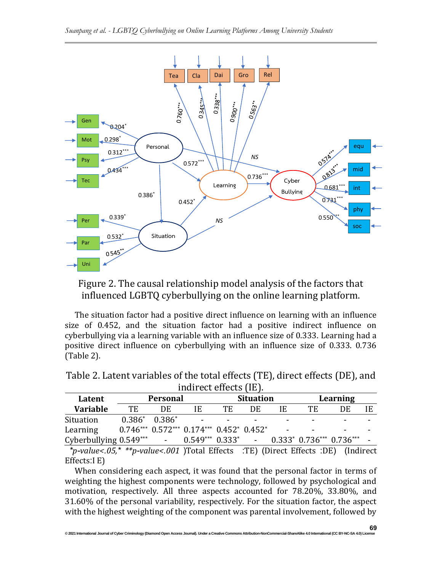

Figure 2. The causal relationship model analysis of the factors that influenced LGBTQ cyberbullying on the online learning platform.

The situation factor had a positive direct influence on learning with an influence size of 0.452, and the situation factor had a positive indirect influence on cyberbullying via a learning variable with an influence size of 0.333. Learning had a positive direct influence on cyberbullying with an influence size of 0.333. 0.736 (Table 2).

| Indirect effects (IE).   |                     |                 |                                                    |                  |    |          |    |                                       |  |
|--------------------------|---------------------|-----------------|----------------------------------------------------|------------------|----|----------|----|---------------------------------------|--|
| Latent                   |                     | <b>Personal</b> |                                                    | <b>Situation</b> |    | Learning |    |                                       |  |
| <b>Variable</b>          | TE                  | DE              | IE                                                 | TE               | DE | IE       | TЕ | DE                                    |  |
| Situation                | $0.386^*$ $0.386^*$ |                 |                                                    |                  |    |          |    |                                       |  |
| Learning                 |                     |                 | $0.746***$ $0.572***$ $0.174***$ $0.452*$ $0.452*$ |                  |    |          | -  | $\overline{\phantom{0}}$              |  |
| Cyberbullying $0.549***$ |                     | $\blacksquare$  | $0.549***$ $0.333*$                                |                  |    |          |    | $0.333^*$ $0.736^{***}$ $0.736^{***}$ |  |

Table 2. Latent variables of the total effects (TE), direct effects (DE), and  $\mathbf{I}$  in the control  $\mathbf{I}$ 

 *\*p-value<.05,\* \*\*p-value<.001* (Total Effects :TE( )Direct Effects :DE( )Indirect Effects:I E)

When considering each aspect, it was found that the personal factor in terms of weighting the highest components were technology, followed by psychological and motivation, respectively. All three aspects accounted for 78.20%, 33.80%, and 31.60% of the personal variability, respectively. For the situation factor, the aspect with the highest weighting of the component was parental involvement, followed by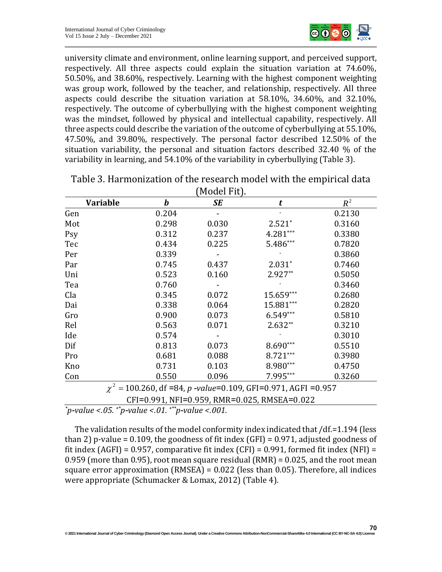

university climate and environment, online learning support, and perceived support, respectively. All three aspects could explain the situation variation at 74.60%, 50.50%, and 38.60%, respectively. Learning with the highest component weighting was group work, followed by the teacher, and relationship, respectively. All three aspects could describe the situation variation at 58.10%, 34.60%, and 32.10%, respectively. The outcome of cyberbullying with the highest component weighting was the mindset, followed by physical and intellectual capability, respectively. All three aspects could describe the variation of the outcome of cyberbullying at 55.10%, 47.50%, and 39.80%, respectively. The personal factor described 12.50% of the situation variability, the personal and situation factors described 32.40 % of the variability in learning, and 54.10% of the variability in cyberbullying (Table 3).

| <b>Variable</b> | b     | Proud Little<br>SE | t                                                                | $R^2$  |
|-----------------|-------|--------------------|------------------------------------------------------------------|--------|
| Gen             | 0.204 |                    |                                                                  | 0.2130 |
| Mot             | 0.298 | 0.030              | $2.521*$                                                         | 0.3160 |
| Psy             | 0.312 | 0.237              | 4.281***                                                         | 0.3380 |
| Tec             | 0.434 | 0.225              | 5.486***                                                         | 0.7820 |
| Per             | 0.339 |                    |                                                                  | 0.3860 |
| Par             | 0.745 | 0.437              | $2.031*$                                                         | 0.7460 |
| Uni             | 0.523 | 0.160              | $2.927**$                                                        | 0.5050 |
| Tea             | 0.760 |                    |                                                                  | 0.3460 |
| Cla             | 0.345 | 0.072              | 15.659***                                                        | 0.2680 |
| Dai             | 0.338 | 0.064              | 15.881***                                                        | 0.2820 |
| Gro             | 0.900 | 0.073              | $6.549***$                                                       | 0.5810 |
| Rel             | 0.563 | 0.071              | $2.632**$                                                        | 0.3210 |
| Ide             | 0.574 |                    |                                                                  | 0.3010 |
| Dif             | 0.813 | 0.073              | $8.690***$                                                       | 0.5510 |
| Pro             | 0.681 | 0.088              | 8.721***                                                         | 0.3980 |
| Kno             | 0.731 | 0.103              | 8.980***                                                         | 0.4750 |
| Con             | 0.550 | 0.096              | 7.995***                                                         | 0.3260 |
|                 |       |                    | $\gamma^2$ = 100 260 df =84 n -value=0 109 GFI=0 971 AGFI =0 957 |        |

Table 3. Harmonization of the research model with the empirical data (Model Fit).

> = χ 100.260, df =84, *p -value*=0.109, GFI=0.971, AGFI =0.957

CFI=0.991, NFI =0.959, RMR=0.025, RMSEA=0 .022

*\*p-value <.05. \*\*p-value <.01. \*\*\*p-value <.001.*

The validation results of the model conformity index indicated that /df.=1.194 (less than 2) p-value = 0.109, the goodness of fit index  $(GFI) = 0.971$ , adjusted goodness of fit index  $(AGFI) = 0.957$ , comparative fit index  $(CFI) = 0.991$ , formed fit index  $(NFI) = 0.991$ 0.959 (more than 0.95), root mean square residual (RMR) = 0.025, and the root mean square error approximation (RMSEA) = 0.022 (less than 0.05). Therefore, all indices were appropriate (Schumacker & Lomax, 2012) (Table 4).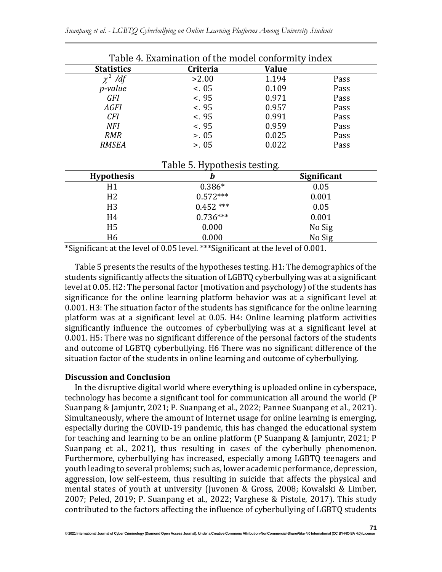| Table 4. Examination of the model conformity index |          |              |      |  |  |
|----------------------------------------------------|----------|--------------|------|--|--|
| <b>Statistics</b>                                  | Criteria | <b>Value</b> |      |  |  |
| $\chi^2$ /df                                       | >2.00    | 1.194        | Pass |  |  |
| p-value                                            | < 0.05   | 0.109        | Pass |  |  |
| <b>GFI</b>                                         | < 95     | 0.971        | Pass |  |  |
| <b>AGFI</b>                                        | < 95     | 0.957        | Pass |  |  |
| <b>CFI</b>                                         | < 95     | 0.991        | Pass |  |  |
| <b>NFI</b>                                         | < 95     | 0.959        | Pass |  |  |
| <b>RMR</b>                                         | > 0.05   | 0.025        | Pass |  |  |
| <b>RMSEA</b>                                       | > 0.05   | 0.022        | Pass |  |  |

| Table 5. Hypothesis testing. |            |                    |  |  |  |  |
|------------------------------|------------|--------------------|--|--|--|--|
| <b>Hypothesis</b>            | b          | <b>Significant</b> |  |  |  |  |
| H1                           | $0.386*$   | 0.05               |  |  |  |  |
| H <sub>2</sub>               | $0.572***$ | 0.001              |  |  |  |  |
| H <sub>3</sub>               | $0.452***$ | 0.05               |  |  |  |  |
| H4                           | $0.736***$ | 0.001              |  |  |  |  |
| H <sub>5</sub>               | 0.000      | No Sig             |  |  |  |  |
| H <sub>6</sub>               | 0.000      | No Sig             |  |  |  |  |

\*Significant at the level of 0.05 level. \*\*\*Significant at the level of 0.001.

Table 5 presents the results of the hypotheses testing. H1: The demographics of the students significantly affects the situation of LGBTQ cyberbullying was at a significant level at 0.05. H2: The personal factor (motivation and psychology) of the students has significance for the online learning platform behavior was at a significant level at 0.001. H3: The situation factor of the students has significance for the online learning platform was at a significant level at 0.05. H4: Online learning platform activities significantly influence the outcomes of cyberbullying was at a significant level at 0.001. H5: There was no significant difference of the personal factors of the students and outcome of LGBTQ cyberbullying. H6 There was no significant difference of the situation factor of the students in online learning and outcome of cyberbullying.

#### **Discussion and Conclusion**

In the disruptive digital world where everything is uploaded online in cyberspace, technology has become a significant tool for communication all around the world (P Suanpang & Jamjuntr, 2021; P. Suanpang et al., 2022; Pannee Suanpang et al., 2021). Simultaneously, where the amount of Internet usage for online learning is emerging, especially during the COVID-19 pandemic, this has changed the educational system for teaching and learning to be an online platform (P Suanpang & Jamjuntr, 2021; P Suanpang et al., 2021), thus resulting in cases of the cyberbully phenomenon. Furthermore, cyberbullying has increased, especially among LGBTQ teenagers and youth leading to several problems; such as, lower academic performance, depression, aggression, low self-esteem, thus resulting in suicide that affects the physical and mental states of youth at university (Juvonen & Gross, 2008; Kowalski & Limber, 2007; Peled, 2019; P. Suanpang et al., 2022; Varghese & Pistole, 2017). This study contributed to the factors affecting the influence of cyberbullying of LGBTQ students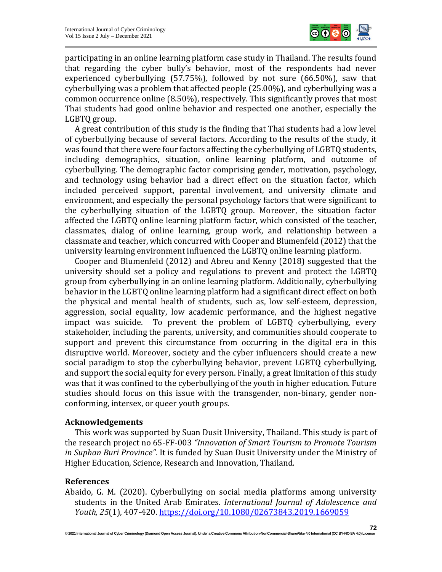

participating in an online learning platform case study in Thailand. The results found that regarding the cyber bully's behavior, most of the respondents had never experienced cyberbullying (57.75%), followed by not sure (66.50%), saw that cyberbullying was a problem that affected people (25.00%), and cyberbullying was a common occurrence online (8.50%), respectively. This significantly proves that most Thai students had good online behavior and respected one another, especially the LGBTQ group.

A great contribution of this study is the finding that Thai students had a low level of cyberbullying because of several factors. According to the results of the study, it was found that there were four factors affecting the cyberbullying of LGBTQ students, including demographics, situation, online learning platform, and outcome of cyberbullying. The demographic factor comprising gender, motivation, psychology, and technology using behavior had a direct effect on the situation factor, which included perceived support, parental involvement, and university climate and environment, and especially the personal psychology factors that were significant to the cyberbullying situation of the LGBTQ group. Moreover, the situation factor affected the LGBTQ online learning platform factor, which consisted of the teacher, classmates, dialog of online learning, group work, and relationship between a classmate and teacher, which concurred with Cooper and Blumenfeld (2012) that the university learning environment influenced the LGBTQ online learning platform.

Cooper and Blumenfeld (2012) and Abreu and Kenny (2018) suggested that the university should set a policy and regulations to prevent and protect the LGBTQ group from cyberbullying in an online learning platform. Additionally, cyberbullying behavior in the LGBTQ online learning platform had a significant direct effect on both the physical and mental health of students, such as, low self-esteem, depression, aggression, social equality, low academic performance, and the highest negative impact was suicide. To prevent the problem of LGBTQ cyberbullying, every stakeholder, including the parents, university, and communities should cooperate to support and prevent this circumstance from occurring in the digital era in this disruptive world. Moreover, society and the cyber influencers should create a new social paradigm to stop the cyberbullying behavior, prevent LGBTQ cyberbullying, and support the social equity for every person. Finally, a great limitation of this study was that it was confined to the cyberbullying of the youth in higher education. Future studies should focus on this issue with the transgender, non-binary, gender nonconforming, intersex, or queer youth groups.

#### **Acknowledgements**

This work was supported by Suan Dusit University, Thailand. This study is part of the research project no 65-FF-003 *"Innovation of Smart Tourism to Promote Tourism in Suphan Buri Province"*. It is funded by Suan Dusit University under the Ministry of Higher Education, Science, Research and Innovation, Thailand.

# **References**

Abaido, G. M. (2020). Cyberbullying on social media platforms among university students in the United Arab Emirates. *International Journal of Adolescence and Youth, 25*(1), 407-420[. https://doi.org/10.1080/02673843.2019.1669059](https://doi.org/10.1080/02673843.2019.1669059)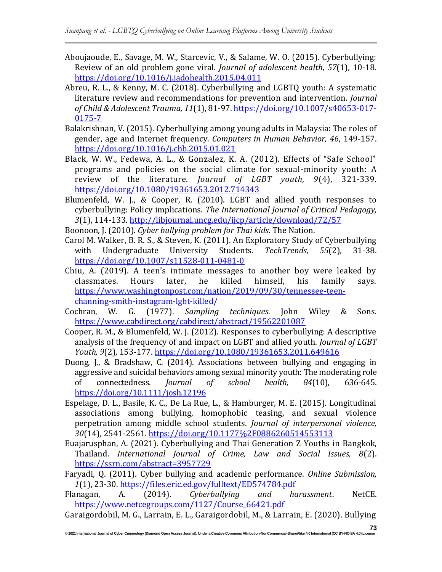- Aboujaoude, E., Savage, M. W., Starcevic, V., & Salame, W. O. (2015). Cyberbullying: Review of an old problem gone viral. *Journal of adolescent health, 57*(1), 10-18. <https://doi.org/10.1016/j.jadohealth.2015.04.011>
- Abreu, R. L., & Kenny, M. C. (2018). Cyberbullying and LGBTQ youth: A systematic literature review and recommendations for prevention and intervention. *Journal of Child & Adolescent Trauma, 11*(1), 81-97. [https://doi.org/10.1007/s40653-017-](https://doi.org/10.1007/s40653-017-0175-7) [0175-7](https://doi.org/10.1007/s40653-017-0175-7)
- Balakrishnan, V. (2015). Cyberbullying among young adults in Malaysia: The roles of gender, age and Internet frequency. *Computers in Human Behavior, 46*, 149-157. <https://doi.org/10.1016/j.chb.2015.01.021>
- Black, W. W., Fedewa, A. L., & Gonzalez, K. A. (2012). Effects of "Safe School" programs and policies on the social climate for sexual-minority youth: A review of the literature. *Journal of LGBT youth, 9*(4), 321-339. <https://doi.org/10.1080/19361653.2012.714343>
- Blumenfeld, W. J., & Cooper, R. (2010). LGBT and allied youth responses to cyberbullying: Policy implications. *The International Journal of Critical Pedagogy, 3*(1), 114-133[. http://libjournal.uncg.edu/ijcp/article/download/72/57](http://libjournal.uncg.edu/ijcp/article/download/72/57)
- Boonoon, J. (2010). *Cyber bullying problem for Thai kids*. The Nation.
- Carol M. Walker, B. R. S., & Steven, K. (2011). An Exploratory Study of Cyberbullying with Undergraduate University Students. *TechTrends, 55*(2), 31-38. <https://doi.org/10.1007/s11528-011-0481-0>
- Chiu, A. (2019). A teen's intimate messages to another boy were leaked by classmates. Hours later, he killed himself, his family says. [https://www.washingtonpost.com/nation/2019/09/30/tennessee-teen](https://www.washingtonpost.com/nation/2019/09/30/tennessee-teen-channing-smith-instagram-lgbt-killed/)[channing-smith-instagram-lgbt-killed/](https://www.washingtonpost.com/nation/2019/09/30/tennessee-teen-channing-smith-instagram-lgbt-killed/)
- Cochran, W. G. (1977). *Sampling techniques*. John Wiley & Sons. <https://www.cabdirect.org/cabdirect/abstract/19562201087>
- Cooper, R. M., & Blumenfeld, W. J. (2012). Responses to cyberbullying: A descriptive analysis of the frequency of and impact on LGBT and allied youth. *Journal of LGBT Youth, 9*(2), 153-177.<https://doi.org/10.1080/19361653.2011.649616>
- Duong, J., & Bradshaw, C. (2014). Associations between bullying and engaging in aggressive and suicidal behaviors among sexual minority youth: The moderating role of connectedness. *Journal of school health, 84*(10), 636-645. <https://doi.org/10.1111/josh.12196>
- Espelage, D. L., Basile, K. C., De La Rue, L., & Hamburger, M. E. (2015). Longitudinal associations among bullying, homophobic teasing, and sexual violence perpetration among middle school students. *Journal of interpersonal violence, 30*(14), 2541-2561.<https://doi.org/10.1177%2F0886260514553113>
- Euajarusphan, A. (2021). Cyberbullying and Thai Generation Z Youths in Bangkok, Thailand. *International Journal of Crime, Law and Social Issues, 8*(2). <https://ssrn.com/abstract=3957729>
- Faryadi, Q. (2011). Cyber bullying and academic performance. *Online Submission, 1*(1), 23-30.<https://files.eric.ed.gov/fulltext/ED574784.pdf>
- Flanagan, A. (2014). *Cyberbullying and harassment*. NetCE. [https://www.netcegroups.com/1127/Course\\_66421.pdf](https://www.netcegroups.com/1127/Course_66421.pdf)
- Garaigordobil, M. G., Larrain, E. L., Garaigordobil, M., & Larrain, E. (2020). Bullying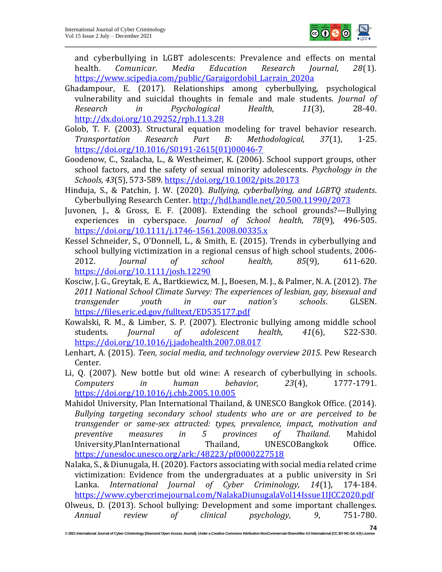

and cyberbullying in LGBT adolescents: Prevalence and effects on mental health. *Comunicar. Media Education Research Journal, 28*(1). [https://www.scipedia.com/public/Garaigordobil\\_Larrain\\_2020a](https://www.scipedia.com/public/Garaigordobil_Larrain_2020a)

- Ghadampour, E. (2017). Relationships among cyberbullying, psychological vulnerability and suicidal thoughts in female and male students. *Journal of Research in Psychological Health, 11*(3), 28-40. <http://dx.doi.org/10.29252/rph.11.3.28>
- Golob, T. F. (2003). Structural equation modeling for travel behavior research. *Transportation Research Part B: Methodological, 37*(1), 1-25. [https://doi.org/10.1016/S0191-2615\(01\)00046-7](https://doi.org/10.1016/S0191-2615(01)00046-7)
- Goodenow, C., Szalacha, L., & Westheimer, K. (2006). School support groups, other school factors, and the safety of sexual minority adolescents. *Psychology in the Schools, 43*(5), 573-589.<https://doi.org/10.1002/pits.20173>
- Hinduja, S., & Patchin, J. W. (2020). *Bullying, cyberbullying, and LGBTQ students*. Cyberbullying Research Center.<http://hdl.handle.net/20.500.11990/2073>
- Juvonen, J., & Gross, E. F. (2008). Extending the school grounds?—Bullying experiences in cyberspace. *Journal of School health, 78*(9), 496-505. <https://doi.org/10.1111/j.1746-1561.2008.00335.x>
- Kessel Schneider, S., O'Donnell, L., & Smith, E. (2015). Trends in cyberbullying and school bullying victimization in a regional census of high school students, 2006‐ 2012. *Journal of school health, 85*(9), 611-620. <https://doi.org/10.1111/josh.12290>
- Kosciw, J. G., Greytak, E. A., Bartkiewicz, M. J., Boesen, M. J., & Palmer, N. A. (2012). *The 2011 National School Climate Survey: The experiences of lesbian, gay, bisexual and transgender youth in our nation's schools*. GLSEN. <https://files.eric.ed.gov/fulltext/ED535177.pdf>
- Kowalski, R. M., & Limber, S. P. (2007). Electronic bullying among middle school students. *Journal of adolescent health, 41*(6), S22-S30. <https://doi.org/10.1016/j.jadohealth.2007.08.017>
- Lenhart, A. (2015). *Teen, social media, and technology overview 2015*. Pew Research Center.
- Li, Q. (2007). New bottle but old wine: A research of cyberbullying in schools. *Computers in human behavior, 23*(4), 1777-1791. <https://doi.org/10.1016/j.chb.2005.10.005>
- Mahidol University, Plan International Thailand, & UNESCO Bangkok Office. (2014). *Bullying targeting secondary school students who are or are perceived to be transgender or same-sex attracted: types, prevalence, impact, motivation and preventive measures in 5 provinces of Thailand*. Mahidol University,PlanInternational Thailand, UNESCOBangkok Office. <https://unesdoc.unesco.org/ark:/48223/pf0000227518>
- Nalaka, S., & Diunugala, H. (2020). Factors associating with social media related crime victimization: Evidence from the undergraduates at a public university in Sri Lanka. *International Journal of Cyber Criminology, 14*(1), 174-184. <https://www.cybercrimejournal.com/NalakaDiunugalaVol14Issue1IJCC2020.pdf>
- Olweus, D. (2013). School bullying: Development and some important challenges. *Annual review of clinical psychology, 9*, 751-780.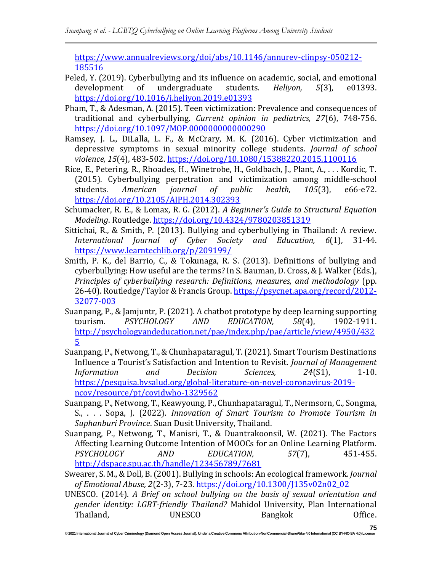[https://www.annualreviews.org/doi/abs/10.1146/annurev-clinpsy-050212-](https://www.annualreviews.org/doi/abs/10.1146/annurev-clinpsy-050212-185516) [185516](https://www.annualreviews.org/doi/abs/10.1146/annurev-clinpsy-050212-185516)

- Peled, Y. (2019). Cyberbullying and its influence on academic, social, and emotional development of undergraduate students. *Heliyon, 5*(3), e01393. <https://doi.org/10.1016/j.heliyon.2019.e01393>
- Pham, T., & Adesman, A. (2015). Teen victimization: Prevalence and consequences of traditional and cyberbullying. *Current opinion in pediatrics, 27*(6), 748-756. <https://doi.org/10.1097/MOP.0000000000000290>
- Ramsey, J. L., DiLalla, L. F., & McCrary, M. K. (2016). Cyber victimization and depressive symptoms in sexual minority college students. *Journal of school violence, 15*(4), 483-502[. https://doi.org/10.1080/15388220.2015.1100116](https://doi.org/10.1080/15388220.2015.1100116)
- Rice, E., Petering, R., Rhoades, H., Winetrobe, H., Goldbach, J., Plant, A., . . . Kordic, T. (2015). Cyberbullying perpetration and victimization among middle-school students. *American journal of public health, 105*(3), e66-e72. <https://doi.org/10.2105/AJPH.2014.302393>
- Schumacker, R. E., & Lomax, R. G. (2012). *A Beginner's Guide to Structural Equation Modeling*. Routledge.<https://doi.org/10.4324/9780203851319>
- Sittichai, R., & Smith, P. (2013). Bullying and cyberbullying in Thailand: A review. *International Journal of Cyber Society and Education, 6*(1), 31-44. <https://www.learntechlib.org/p/209199/>
- Smith, P. K., del Barrio, C., & Tokunaga, R. S. (2013). Definitions of bullying and cyberbullying: How useful are the terms? In S. Bauman, D. Cross, & J. Walker (Eds.), *Principles of cyberbullying research: Definitions, measures, and methodology* (pp. 26-40). Routledge/Taylor & Francis Group[. https://psycnet.apa.org/record/2012-](https://psycnet.apa.org/record/2012-32077-003) [32077-003](https://psycnet.apa.org/record/2012-32077-003)
- Suanpang, P., & Jamjuntr, P. (2021). A chatbot prototype by deep learning supporting tourism. *PSYCHOLOGY AND EDUCATION, 58*(4), 1902-1911. [http://psychologyandeducation.net/pae/index.php/pae/article/view/4950/432](http://psychologyandeducation.net/pae/index.php/pae/article/view/4950/4325) [5](http://psychologyandeducation.net/pae/index.php/pae/article/view/4950/4325)
- Suanpang, P., Netwong, T., & Chunhapataragul, T. (2021). Smart Tourism Destinations Influence a Tourist's Satisfaction and Intention to Revisit. *Journal of Management Information and Decision Sciences, 24*(S1), 1-10. [https://pesquisa.bvsalud.org/global-literature-on-novel-coronavirus-2019](https://pesquisa.bvsalud.org/global-literature-on-novel-coronavirus-2019-ncov/resource/pt/covidwho-1329562) [ncov/resource/pt/covidwho-1329562](https://pesquisa.bvsalud.org/global-literature-on-novel-coronavirus-2019-ncov/resource/pt/covidwho-1329562)
- Suanpang, P., Netwong, T., Keawyoung, P., Chunhapataragul, T., Nermsorn, C., Songma, S., . . . Sopa, J. (2022). *Innovation of Smart Tourism to Promote Tourism in Suphanburi Province*. Suan Dusit University, Thailand.
- Suanpang, P., Netwong, T., Manisri, T., & Duantrakoonsil, W. (2021). The Factors Affecting Learning Outcome Intention of MOOCs for an Online Learning Platform. *PSYCHOLOGY AND EDUCATION, 57*(7), 451-455. <http://dspace.spu.ac.th/handle/123456789/7681>
- Swearer, S. M., & Doll, B. (2001). Bullying in schools: An ecological framework. *Journal of Emotional Abuse, 2*(2-3), 7-23. [https://doi.org/10.1300/J135v02n02\\_02](https://doi.org/10.1300/J135v02n02_02)
- UNESCO. (2014). *A Brief on school bullying on the basis of sexual orientation and gender identity: LGBT-friendly Thailand?* Mahidol University, Plan International Thailand, **Institute UNESCO** Bangkok **Office.**